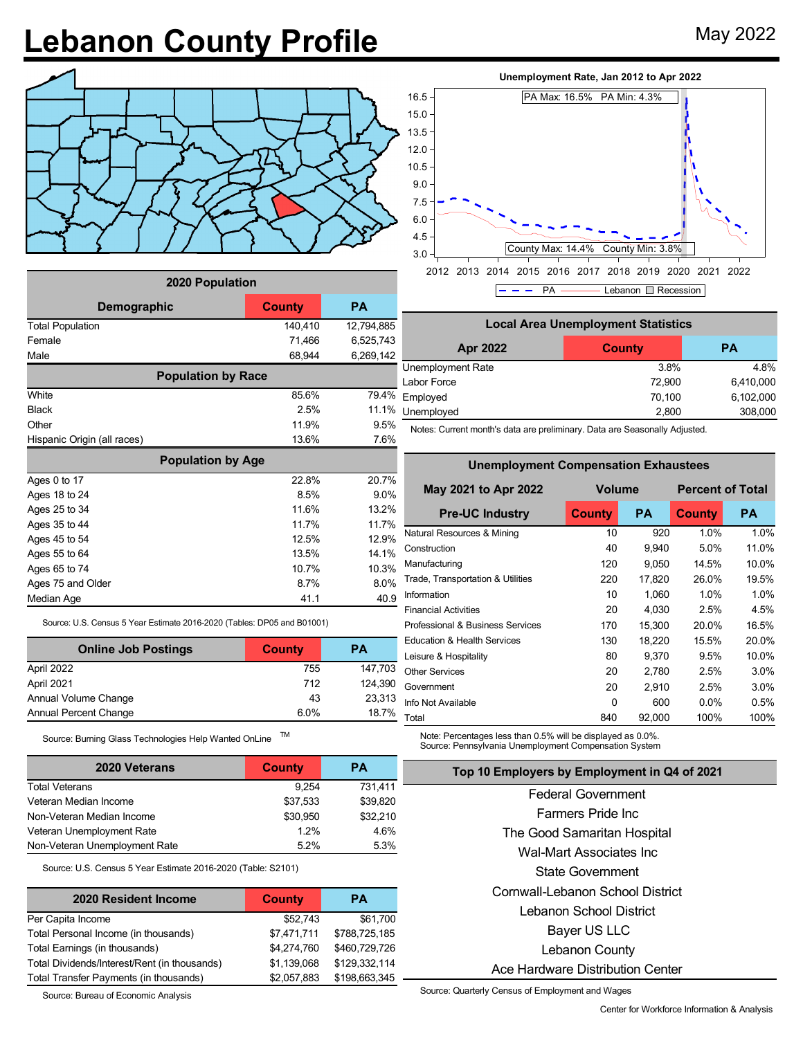## Lebanon County Profile May 2022



| 2020 Population              |         |            |  |  |  |  |  |
|------------------------------|---------|------------|--|--|--|--|--|
| <b>County</b><br>Demographic |         | <b>PA</b>  |  |  |  |  |  |
| <b>Total Population</b>      | 140,410 | 12,794,885 |  |  |  |  |  |
| Female                       | 71,466  | 6,525,743  |  |  |  |  |  |
| Male                         | 68,944  | 6,269,142  |  |  |  |  |  |
| <b>Population by Race</b>    |         |            |  |  |  |  |  |
| White                        | 85.6%   | 79.4%      |  |  |  |  |  |
| <b>Black</b>                 | 2.5%    | 11.1%      |  |  |  |  |  |
| Other                        | 11.9%   | 9.5%       |  |  |  |  |  |
| Hispanic Origin (all races)  | 13.6%   | 7.6%       |  |  |  |  |  |
| <b>Population by Age</b>     |         |            |  |  |  |  |  |
| Ages 0 to 17                 | 22.8%   | 20.7%      |  |  |  |  |  |
| Ages 18 to 24                | 8.5%    | 9.0%       |  |  |  |  |  |
| Ages 25 to 34                | 11.6%   | 13.2%      |  |  |  |  |  |
| Ages 35 to 44                | 11.7%   | 11.7%      |  |  |  |  |  |
| Ages 45 to 54                | 12.5%   | 12.9%      |  |  |  |  |  |
| Ages 55 to 64                | 13.5%   | 14.1%      |  |  |  |  |  |
| Ages 65 to 74                | 10.7%   | 10.3%      |  |  |  |  |  |
| Ages 75 and Older            | 8.7%    | 8.0%       |  |  |  |  |  |
| Median Age                   | 41.1    | 40.9       |  |  |  |  |  |

Source: U.S. Census 5 Year Estimate 2016-2020 (Tables: DP05 and B01001)

| <b>Online Job Postings</b> | <b>County</b> | <b>PA</b> |
|----------------------------|---------------|-----------|
| April 2022                 | 755           | 147,703   |
| April 2021                 | 712           | 124,390   |
| Annual Volume Change       | 43            | 23,313    |
| Annual Percent Change      | 6.0%          | 18.7%     |

Source: Burning Glass Technologies Help Wanted OnLine TM

| <b>2020 Veterans</b>          | County   | РA       |
|-------------------------------|----------|----------|
| <b>Total Veterans</b>         | 9.254    | 731,411  |
| Veteran Median Income         | \$37,533 | \$39,820 |
| Non-Veteran Median Income     | \$30.950 | \$32,210 |
| Veteran Unemployment Rate     | 12%      | 4.6%     |
| Non-Veteran Unemployment Rate | 52%      | 5.3%     |

Source: U.S. Census 5 Year Estimate 2016-2020 (Table: S2101)

| 2020 Resident Income                         | <b>County</b> | PА            |
|----------------------------------------------|---------------|---------------|
| Per Capita Income                            | \$52,743      | \$61,700      |
| Total Personal Income (in thousands)         | \$7,471,711   | \$788,725,185 |
| Total Earnings (in thousands)                | \$4,274,760   | \$460,729,726 |
| Total Dividends/Interest/Rent (in thousands) | \$1,139,068   | \$129,332,114 |
| Total Transfer Payments (in thousands)       | \$2,057,883   | \$198,663,345 |

Source: Bureau of Economic Analysis

## **Unemployment Rate, Jan 2012 to Apr 2022**



| <b>Local Area Unemployment Statistics</b> |               |           |  |  |  |  |
|-------------------------------------------|---------------|-----------|--|--|--|--|
| Apr 2022                                  | <b>County</b> | <b>PA</b> |  |  |  |  |
| Unemployment Rate                         | 3.8%          | 4.8%      |  |  |  |  |
| Labor Force                               | 72,900        | 6,410,000 |  |  |  |  |
| Employed                                  | 70,100        | 6,102,000 |  |  |  |  |
| Unemployed                                | 2,800         | 308,000   |  |  |  |  |

Notes: Current month's data are preliminary. Data are Seasonally Adjusted.

**Unemployment Compensation Exhaustees**

| Unemployment Compensation Exnaustees |           |                         |           |  |  |  |  |
|--------------------------------------|-----------|-------------------------|-----------|--|--|--|--|
| <b>Volume</b>                        |           | <b>Percent of Total</b> |           |  |  |  |  |
| <b>County</b>                        | <b>PA</b> | <b>County</b>           | <b>PA</b> |  |  |  |  |
| 10                                   | 920       | 1.0%                    | 1.0%      |  |  |  |  |
| 40                                   | 9,940     | 5.0%                    | 11.0%     |  |  |  |  |
| 120                                  | 9,050     | 14.5%                   | 10.0%     |  |  |  |  |
| 220                                  | 17,820    | 26.0%                   | 19.5%     |  |  |  |  |
| 10                                   | 1,060     | 1.0%                    | 1.0%      |  |  |  |  |
| 20                                   | 4,030     | 2.5%                    | 4.5%      |  |  |  |  |
| 170                                  | 15,300    | 20.0%                   | 16.5%     |  |  |  |  |
| 130                                  | 18,220    | 15.5%                   | 20.0%     |  |  |  |  |
| 80                                   | 9,370     | 9.5%                    | 10.0%     |  |  |  |  |
| 20                                   | 2,780     | 2.5%                    | 3.0%      |  |  |  |  |
| 20                                   | 2,910     | 2.5%                    | 3.0%      |  |  |  |  |
| 0                                    | 600       | $0.0\%$                 | 0.5%      |  |  |  |  |
| 840                                  | 92,000    | 100%                    | 100%      |  |  |  |  |
|                                      |           |                         |           |  |  |  |  |

Note: Percentages less than 0.5% will be displayed as 0.0%. Source: Pennsylvania Unemployment Compensation System

## **Top 10 Employers by Employment in Q4 of 2021**

Federal Government Farmers Pride Inc The Good Samaritan Hospital Wal-Mart Associates Inc State Government Cornwall-Lebanon School District Lebanon School District Bayer US LLC Lebanon County Ace Hardware Distribution Center

Source: Quarterly Census of Employment and Wages